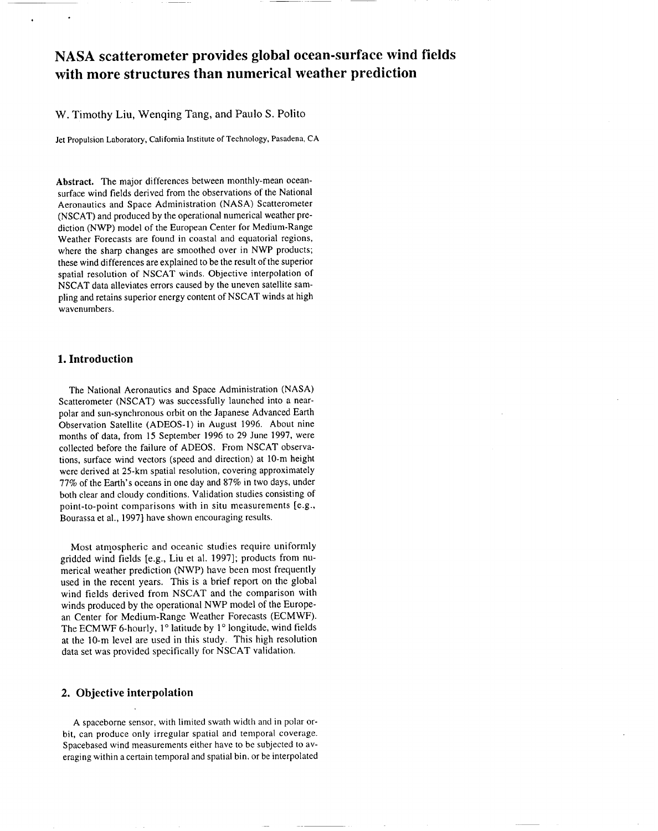# **NASA scatterometer provides global ocean-surface wind fields with more structures than numerical weather prediction**

W. Timothy Liu, Wenqing Tang, and Paulo S. Polito

Jet Propulsion Laboratory, California Institute of Technology, Pasadena, CA

Abstract. The major differences between monthly-mean oceansurface wind fields derived from the observations of the National Aeronautics and Space Administration (NASA) Scatterometer (NSCAT) and produced by the operational numerical weather prediction (NWP) model of the European Center for Medium-Range Weather Forecasts are found in coastal and equatorial regions, where the sharp changes are smoothed over in NWP products; these wind differences are explained to be the result of the superior spatial resolution of NSCAT winds. Objective interpolation of NSCAT data alleviates errors caused by the uneven satellite sampling and retains superior energy content of NSCAT winds at high wavenumbers.

#### **1. Introduction**

.

The National Aeronautics and Space Administration (NASA) Scatterometer (NSCAT) was successfully launched into a nearpolar and sun-synchronous orbit on the Japanese Advanced Earth Observation Satellite (ADEOS-1) in August 1996. About nine months of data, from 15 September 1996 to 29 June 1997, were collected before the failure of ADEOS. From NSCAT observations, surface wind vectors (speed and direction) at 10-m height were derived at 25-km spatial resolution, covering approximately 77% of the Earth's oceans in one day and 87% in two days, under both clear and cloudy conditions. Validation studies consisting of point-to-point comparisons with in situ measurements [e.g., Bourassa et al., 1997] have shown encouraging results.

Most atmospheric and oceanic studies require uniformly gridded wind fields [e.g., Liu et al. 1997]; products from numerical weather prediction (NWP) have been most frequently used in the recent years. This is a brief report on the global wind fields derived from NSCAT and the comparison with winds produced by the operational NWP model of the European Center for Medium-Range Weather Forecasts (ECMWF). The ECMWF 6-hourly,  $1^\circ$  latitude by  $1^\circ$  longitude, wind fields at the 10-m level are used in this study. This high resolution data set was provided specifically for NSCAT validation.

### **2. Objective interpolation**

A spaceborne sensor, with limited swath width and in polar orbit, can produce only irregular spatial and temporal coverage. Spacebased wind measurements either have to be subjected to averaging within a certain temporal and spatial bin, or be interpolated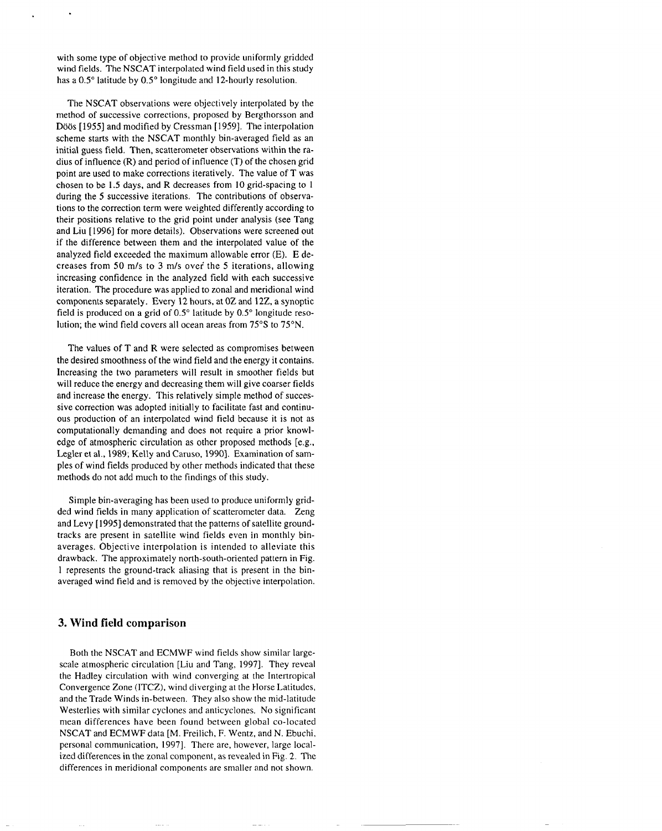with some type of objective method to provide uniformly gridded wind fields. The NSCAT interpolated wind field used in this study has a 0.5° latitude by 0.5° longitude and 12-hourly resolution.

The NSCAT observations were objectively interpolated by the method of successive corrections, proposed by Bergthorsson and Döös [1955] and modified by Cressman [1959]. The interpolation scheme starts with the NSCAT monthly bin-averaged field as an initial guess field, Then, scatterometer observations within the radius of influence (R) and period of influence (T) of the chosen grid point are used to make corrections iteratively. The value of T was chosen to be 1.5 days, and R decreases from 10 grid-spacing to 1 during the 5 successive iterations. The contributions of observations to the correction term were weighted differently according to their positions relative to the grid point under analysis (see Tang and Liu [1996] for more details). Observations were screened out if the difference between them and the interpolated value of the analyzed field exceeded the maximum allowable error (E). E decreases from 50 m/s to 3 m/s over the 5 iterations, allowing increasing confidence in the analyzed field with each successive iteration. The procedure was applied to zonal and meridional wind components separately. Every 12 hours, at OZ and 12Z, a synoptic field is produced on a grid of 0,5° latitude by 0.5° longitude resolution; the wind field covers all ocean areas from 75°S to 75°N.

The values of T and R were selected as compromises between the desired smoothness of the wind field and the energy it contains. Increasing the two parameters will result in smoother fields but will reduce the energy and decreasing them will give coarser fields and increase the energy. This relatively simple method of successive correction was adopted initially to facilitate fast and continuous production of an interpolated wind field because it is not as computationally demanding and does not require a prior knowledge of atmospheric circulation as other proposed methods [e.g., Legler et al., 1989; Kelly and Caruso, 1990]. Examination of samples of wind fields produced by other methods indicated that these methods do not add much to the findings of this study.

Simple bin-averaging has been used to produce uniformly gridded wind fields in many application of scatterometer data. Zeng and Levy [1995] demonstrated that the patterns of satellite groundtracks are present in satellite wind fields even in monthly binaverages. Objective interpolation is intended to alleviate this drawback. The approximately north-south-oriented pattern in Fig. 1 represents the ground-track aliasing that is present in the binaveraged wind field and is removed by the objective interpolation.

## **3. Wind field comparison**

Both the NSCAT and ECMWF wind fields show similar largescale atmospheric circulation [Liu and Tang, 1997]. They reveal the Hadley circulation with wind converging at the Intertropical Convergence Zone (ITCZ), wind diverging at the Horse Latitudes, and the Trade Winds in-between, They also show the mid-latitude Westerlies with similar cyclones and anticyclones. No significant mean differences have been found between global co-located NSCAT and ECMWF data [M. Freilich, F, Wentz, and N. Ebuchi, personal communication, 1997], There are, however, large localized differences in the zonal component, as revealed in Fig. 2. The differences in meridional components are smaller and not shown.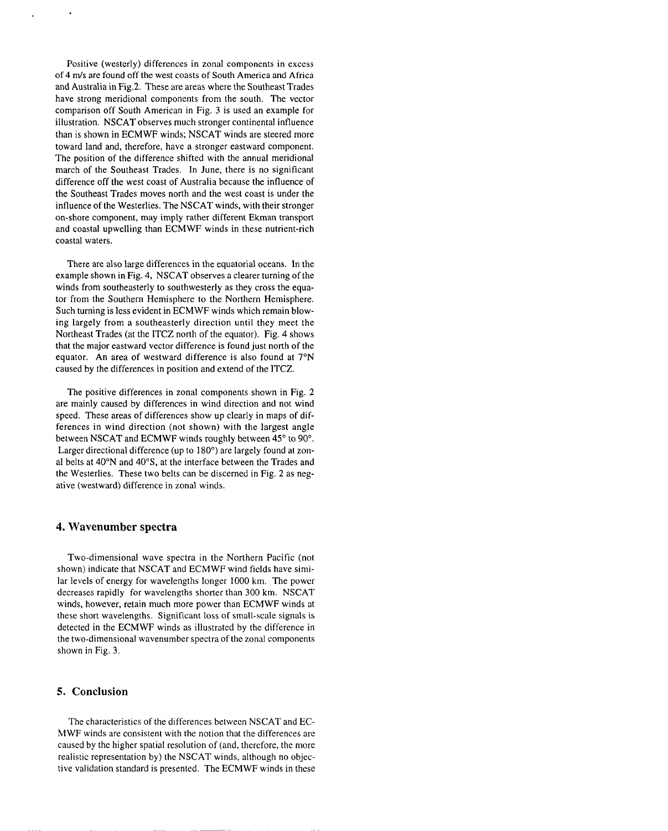Positive (westerly) differences in zonal components in excess of 4 m/s are found off the west coasts of South America and Africa and Australia in Fig.2. These are areas where the Southeast Trades have strong meridional components from the south. The vector comparison off South American in Fig. 3 is used an example for illustration. NSCAT observes much stronger continental influence than is shown in ECMWF winds; NSCAT winds are steered more toward land and, therefore, have a stronger eastward component. The position of the difference shifted with the annual meridional march of the Southeast Trades. In June, there is no significant difference off the west coast of Australia because the influence of the Southeast Trades moves north and the west coast is under the influence of the Westerlies. The NSCAT winds, with their stronger on-shore component, may imply rather different Ekman transport and coastal upwelling than ECMWF winds in these nutrient-rich coastal waters.

There are also large differences in the equatorial oceans. In the example shown in Fig. 4, NSCAT observes a clearer turning of the winds from southeasterly to southwesterly as they cross the equator from the Southern Hemisphere to the Northern Hemisphere. Such turning is less evident in ECMWF winds which remain blowing largely from a southeasterly direction until they meet the Northeast Trades (at the lTCZ north of the equator). Fig, 4 shows that the major eastward vector difference is found just north of the equator. An area of westward difference is also found at 7°N caused by the differences in position and extend of the lTCZ,

The positive differences in zonal components shown in Fig. 2 are mainly caused by differences in wind direction and not wind speed. These areas of differences show up clearly in maps of differences in wind direction (not shown) with the largest angle between NSCAT and ECMWF winds roughly between 45° to 90°. Larger directional difference (up to 180°) are largely found at zonal belts at 40"N and 40°S, at the interface between the Trades and the Westerlies. These two belts can be discerned in Fig. 2 as negative (westward) difference in zonal winds.

## **4. Wavenumber spectra**

Two-dimensional wave spectra in the Northern Pacific (not shown) indicate that NSCAT and ECMWF wind fields have similar levels of energy for wavelengths longer 1000 km, The power decreases rapidly for wavelengths shorter than 300 km. NSCAT winds, however, retain much more power than ECMWF winds at these short wavelengths, Significant loss of small-scale signals is detected in the ECMWF winds as illustrated by the difference in the two-dimensional wavenumber spectra of the zonal components shown in Fig. 3.

## 5. **Conclusion**

The characteristics of the differences between NSCAT and EC-MWF winds are consistent with the notion that the differences are caused by the higher spatial resolution of (and, therefore, the more realistic representation by) the NSCAT winds, although no objective validation standard is presented, The ECMWF winds in these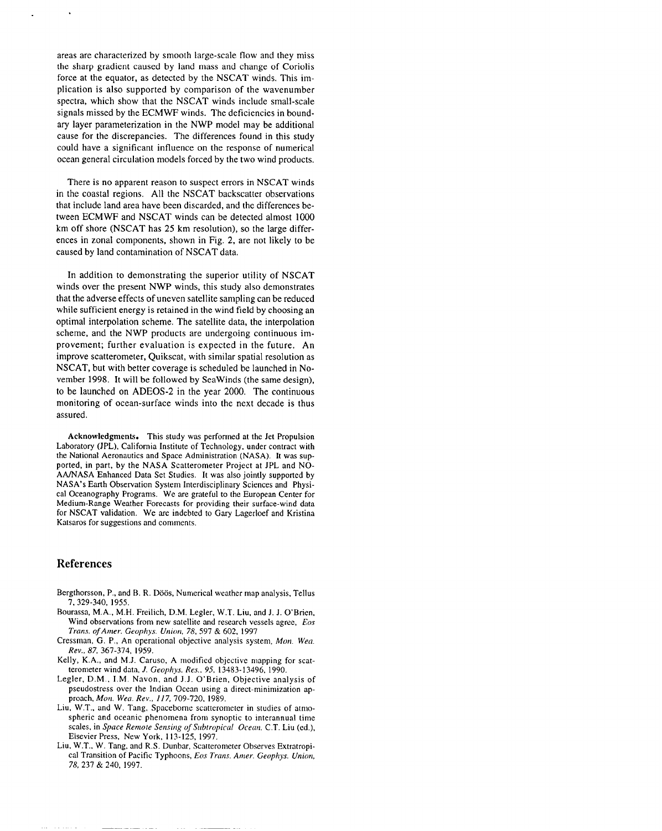areas are characterized by smooth large-scale flow and they miss the sharp gradient caused by land mass and change of Coriolis force at the equator, as detected by the NSCAT winds. This implication is also supported by comparison of the wavenumber spectra, which show that the NSCAT winds include small-scale signals missed by the ECMWF winds. The deficiencies in boundary layer parametenzation in the NWP model may be additional cause for the discrepancies. The differences found in this study could have a significant influence on the response of numerical ocean general circulation models forced by the two wind products.

There is no apparent reason to suspect errors in NSCAT winds in the coastal regions. All the NSCAT backscatter observations that include land area have been discarded, and the differences between ECMWF and NSCAT winds can be detected almost 1000 km off shore (NSCAT has 25 km resolution), so the large differences in zonal components, shown in Fig. 2, are not likely to be caused by land contamination of NSCAT data,

In addition to demonstrating the superior utility of NSCAT winds over the present NWP winds, this study also demonstrates that the adverse effects of uneven satellite sampling can be reduced while sufficient energy is retained in the wind field by choosing an optimal interpolation scheme. The satellite data, the interpolation scheme, and the NWP products are undergoing continuous improvement; further evaluation is expected in the future. An improve scatterometer, Quikscat, with similar spatial resolution as NSCAT, but with better coverage is scheduled be launched in November 1998. It will be followed by SeaWinds (the same design), to be launched on ADEOS-2 in the year 2000. The continuous monitoring of ocean-surface winds into the next decade is thus assured,

Acknowledgments. This study was performed at the Jet Propulsion Laboratory (JPL), California Institute of Technology, under contract with the National Aeronautics and Space Administration (NASA). It was supported, in part, by the NASA Scatterometer Project at JPL and NO-AA/NASA Enhanced Data Set Studies. It was also jointly supported by NASA's Earth Observation System Interdisciplinary Sciences and Physical Oceanography Programs. We are grateful to the European Center for Medium-Range Weather Forecasts for providing their surface-wind data for NSCAT validation, We are indebted to Gary Lagerloef and Kristina Katsaros for suggestions and comments.

#### **References**

- Bergthorsson, P., and B. R. Döös, Numerical weather map analysis, Tellus 7,329-340, 1955.
- Bourassa, M. A., M,H, Freilich, D.M, Legler, W.T. Liu, and J. J. O'Brien, Wind observations from new satellite and research vessels agree, Eos *Trans. of Amer. Geophys. Union, 78, 597 & 602,* 1997
- Cressman, G. P., An operational objective analysis system, Mon. Wea. *Rev.,* 87, 367-374, 1959,
- Kelly, K.A., and M.J. Caruso, A modified objective mapping for scatterorneter wind data, *J. Geopbys. Res..* 95, t 3483-13496, 1990,
- Legler, D.M., I.M. Navon, and J.J. O'Brien, Objective analysis of pseudostress over the Indian Ocean using a direct-minimization approach, Mon. Wea. Rev., 117, 709-720, 1989.
- Liu, W.T., and W. Tang, Spaceborne scatterometer in studies of atmospheric and oceanic phenomena from synoptic to interannual time scales, in *Space Ren/ote Seining of .\$ub[ropica~ Ocem, C*.T. Liu (cd,), Elsevier Press, New York, 113-125, 1997.
- Liu, W.T., W. Tang, and R.S. Dunbar, Scatterometer Observes Extratropical Transition of Pacific Typhoons, Em *Tram. Amer. Geophys.* Union. 78,237 & 240, 1997.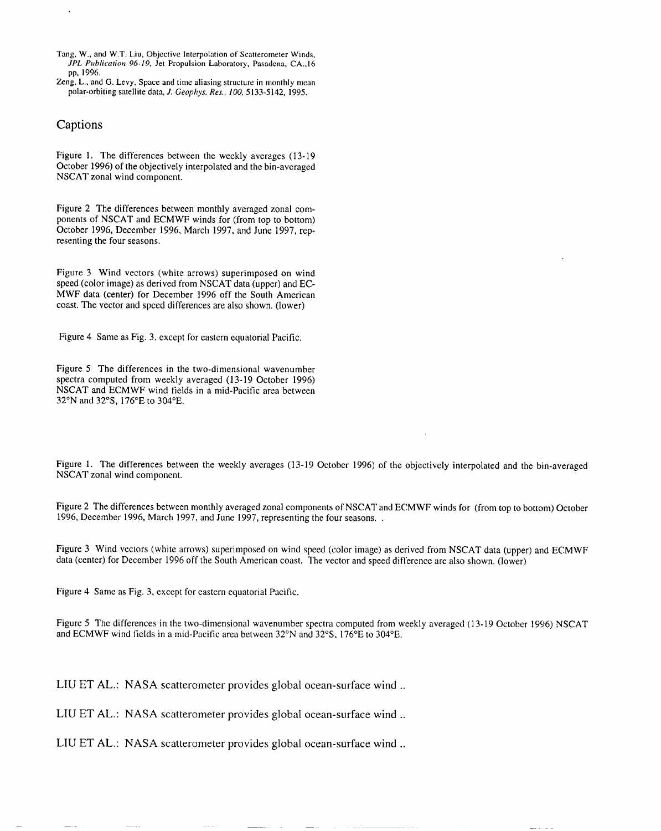- Tang, W., and W.T. Liu, Objective Interpolation of Scatterometer Winds, JPL *Publication 96-19,* Jet Propulsion Laboratory, Pasadena, CA., 16 pp, 1996.
- Zeng, L., and G. Levy, Space and time aliasing structure in monthly mean polar-orbiting satellite data, J. *Geophys. Res., /00,* 5133-5142, 1995.

## Captions

Figure 1. The differences between the weekly averages (13-19 October 1996) of the objectively interpolated and the bin-averaged NSCAT zonal wind component.

Figure 2 The differences between monthly averaged zonal components of NSCAT and ECMWF winds for (from top to bottom) October 1996, December 1996, March 1997, and June 1997, representing the four seasons.

Figure 3 Wind vectors (white arrows) superimposed on wind speed (color image) as derived from NSCAT data (upper) and EC-MWF data (center) for December 1996 off the South American coast. The vector and speed differences are also shown. (lower)

Figure 4 Same as Fig. 3, except for eastern equatorial Pacific,

Figure 5 The differences in the two-dimensional wavenumber spectra computed from weekly averaged (13-19 October 1996) NSCAT and ECMWF wind fields in a mid-Pacific area between 32"N and 32°S, 176"E to 304°E,

Figure 1. The differences between the weekly averages (13-19 October 1996) of the objectively interpolated and the bin-averaged NSCAT zonal wind component.

Figure 2 The differences between monthly averaged zonal components of NSCAT and ECMWF winds for (from top to bottom) October 1996, December 1996, March 1997, and June 1997, representing the four seasons. .

Figure 3 Wind vectors (white arrows) superimposed on wind speed (color image) as derived from NSCAT data (upper) and ECMWF data (center) for December 1996 off the South American coast, The vector and speed difference are also shown. (lower)

Figure 4 Same as Fig. 3, except for eastern equatorial Pacific.

Figure 5 The differences in the two-dimensional wavenumber spectra computed from weekly averaged ( 13-19 October 1996) NSCAT and ECMWF wind fields in a mid-Pacific area between 32"N and 32°S, 176"E to 304"E.

LIU ET AL.: NASA scatterometer provides global ocean-surface wind ..

LIU ET AL.: NASA scatterometer provides global ocean-surface wind ..

LIU ET AL.: NASA scatterometer provides global ocean-surface wind ..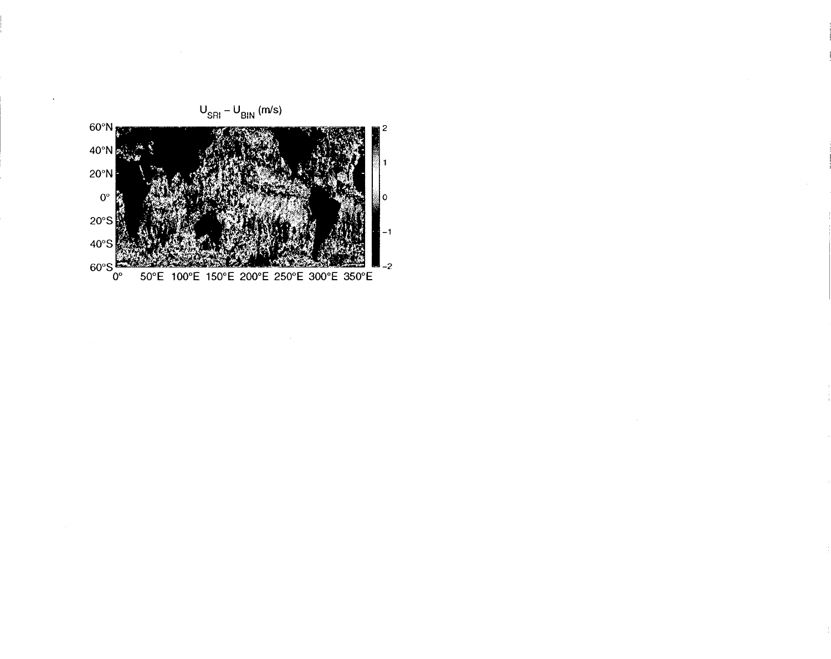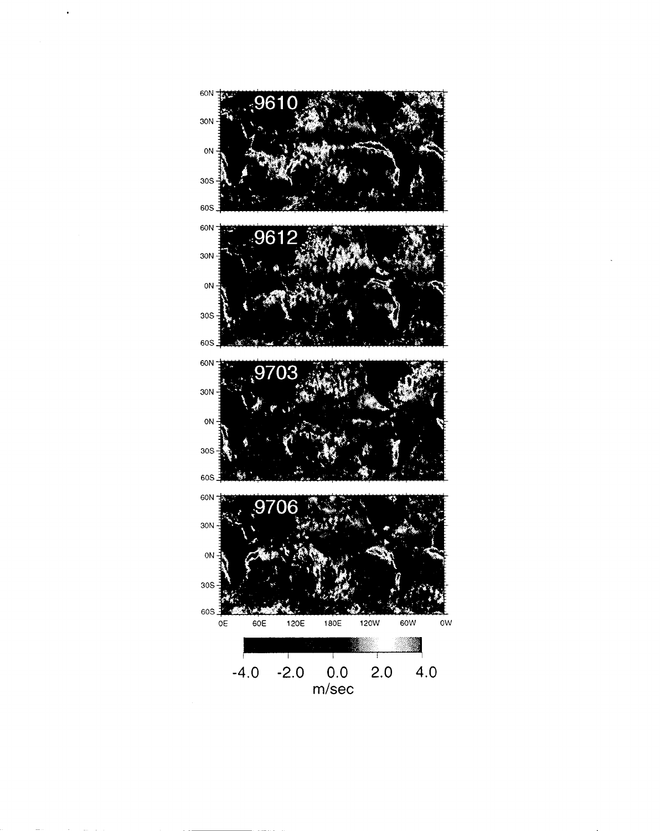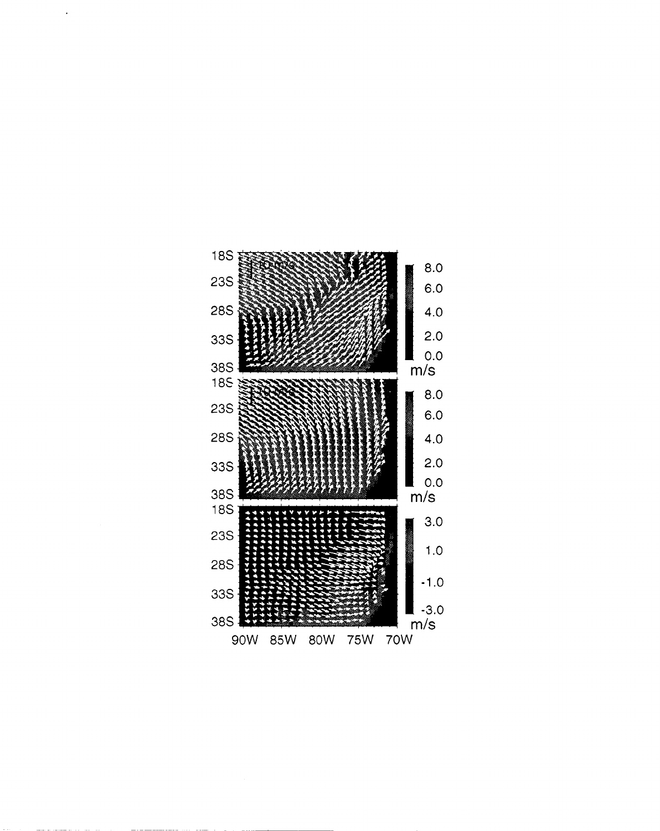

 $\ddot{\phantom{a}}$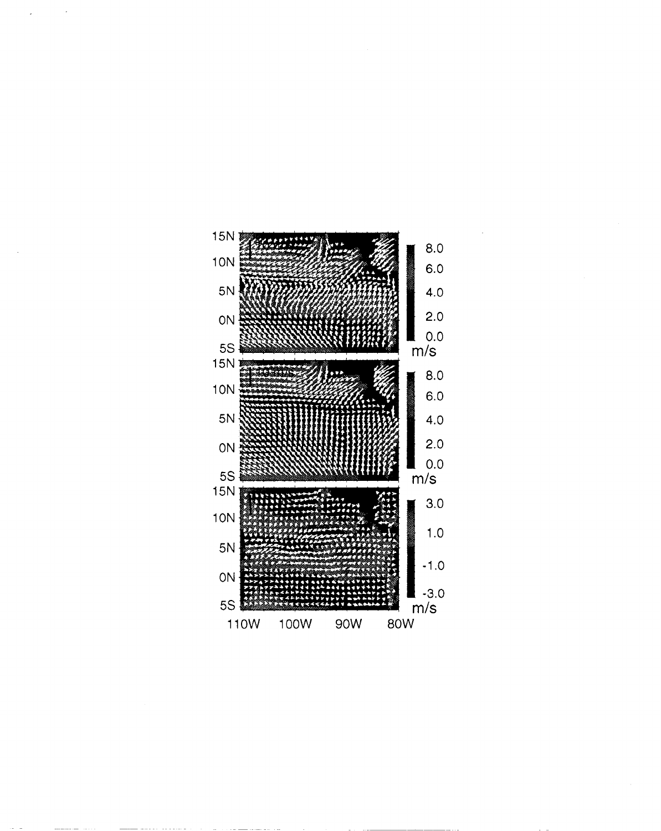